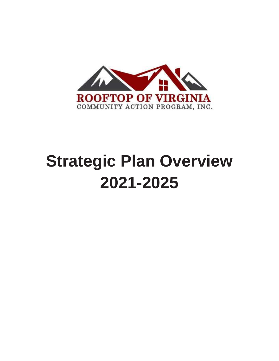

# **Strategic Plan Overview 2021-2025**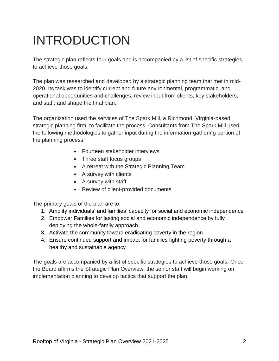### INTRODUCTION

The strategic plan reflects four goals and is accompanied by a list of specific strategies to achieve those goals.

The plan was researched and developed by a strategic planning team that met in mid-2020. Its task was to identify current and future environmental, programmatic, and operational opportunities and challenges; review input from clients, key stakeholders, and staff; and shape the final plan.

The organization used the services of The Spark Mill, a Richmond, Virginia-based strategic planning firm, to facilitate the process. Consultants from The Spark Mill used the following methodologies to gather input during the information-gathering portion of the planning process:

- Fourteen stakeholder interviews
- Three staff focus groups
- A retreat with the Strategic Planning Team
- A survey with clients
- A survey with staff
- Review of client-provided documents

The primary goals of the plan are to:

- 1. Amplify individuals' and families' capacity for social and economic independence
- 2. Empower Families for lasting social and economic independence by fully deploying the whole-family approach
- 3. Activate the community toward eradicating poverty in the region
- 4. Ensure continued support and impact for families fighting poverty through a healthy and sustainable agency

The goals are accompanied by a list of specific strategies to achieve those goals. Once the Board affirms the Strategic Plan Overview, the senior staff will begin working on implementation planning to develop tactics that support the plan.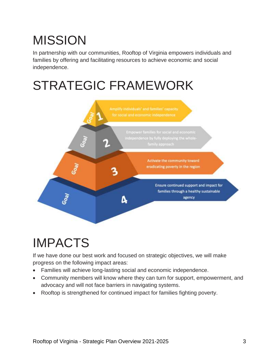## MISSION

In partnership with our communities, Rooftop of Virginia empowers individuals and families by offering and facilitating resources to achieve economic and social independence.

### STRATEGIC FRAMEWORK



### IMPACTS

If we have done our best work and focused on strategic objectives, we will make progress on the following impact areas:

- Families will achieve long-lasting social and economic independence.
- Community members will know where they can turn for support, empowerment, and advocacy and will not face barriers in navigating systems.
- Rooftop is strengthened for continued impact for families fighting poverty.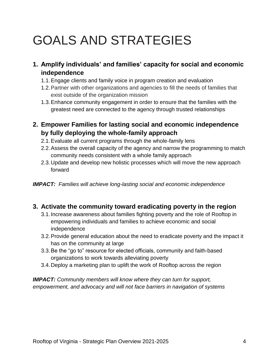### GOALS AND STRATEGIES

- **1. Amplify individuals' and families' capacity for social and economic independence** 
	- 1.1.Engage clients and family voice in program creation and evaluation
	- 1.2.Partner with other organizations and agencies to fill the needs of families that exist outside of the organization mission
	- 1.3.Enhance community engagement in order to ensure that the families with the greatest need are connected to the agency through trusted relationships
- **2. Empower Families for lasting social and economic independence by fully deploying the whole-family approach** 
	- 2.1.Evaluate all current programs through the whole-family lens
	- 2.2.Assess the overall capacity of the agency and narrow the programming to match community needs consistent with a whole family approach
	- 2.3.Update and develop new holistic processes which will move the new approach forward

*IMPACT: Families will achieve long-lasting social and economic independence*

#### **3. Activate the community toward eradicating poverty in the region**

- 3.1.Increase awareness about families fighting poverty and the role of Rooftop in empowering individuals and families to achieve economic and social independence
- 3.2.Provide general education about the need to eradicate poverty and the impact it has on the community at large
- 3.3.Be the "go to" resource for elected officials, community and faith-based organizations to work towards alleviating poverty
- 3.4.Deploy a marketing plan to uplift the work of Rooftop across the region

*IMPACT: Community members will know where they can turn for support, empowerment, and advocacy and will not face barriers in navigation of systems*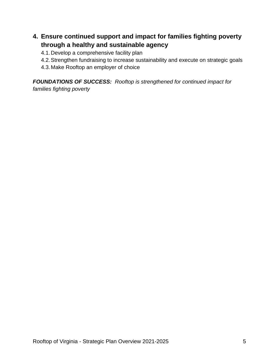#### **4. Ensure continued support and impact for families fighting poverty through a healthy and sustainable agency**

4.1.Develop a comprehensive facility plan

- 4.2.Strengthen fundraising to increase sustainability and execute on strategic goals
- 4.3.Make Rooftop an employer of choice

*FOUNDATIONS OF SUCCESS: Rooftop is strengthened for continued impact for families fighting poverty*